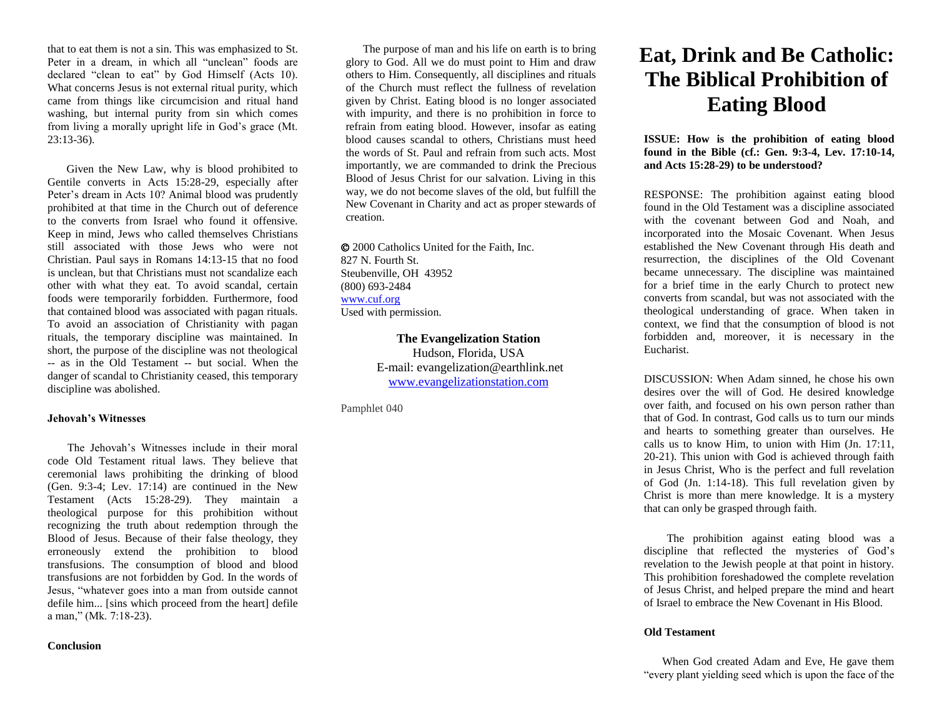that to eat them is not a sin. This was emphasized to St. Peter in a dream, in which all "unclean" foods are declared "clean to eat" by God Himself (Acts 10). What concerns Jesus is not external ritual purity, which came from things like circumcision and ritual hand washing, but internal purity from sin which comes from living a morally upright life in God's grace (Mt.  $23:13-36$ ).

 Given the New Law, why is blood prohibited to Gentile converts in Acts 15:28-29, especially after Peter's dream in Acts 10? Animal blood was prudently prohibited at that time in the Church out of deference to the converts from Israel who found it offensive. Keep in mind, Jews who called themselves Christians still associated with those Jews who were not Christian. Paul says in Romans 14:13-15 that no food is unclean, but that Christians must not scandalize each other with what they eat. To avoid scandal, certain foods were temporarily forbidden. Furthermore, food that contained blood was associated with pagan rituals. To avoid an association of Christianity with pagan rituals, the temporary discipline was maintained. In short, the purpose of the discipline was not theological -- as in the Old Testament -- but social. When the danger of scandal to Christianity ceased, this temporary discipline was abolished.

#### **Jehovah's Witnesses**

 The Jehovah's Witnesses include in their moral code Old Testament ritual laws. They believe that ceremonial laws prohibiting the drinking of blood (Gen. 9:3-4; Lev. 17:14) are continued in the New Testament (Acts 15:28-29). They maintain a theological purpose for this prohibition without recognizing the truth about redemption through the Blood of Jesus. Because of their false theology, they erroneously extend the prohibition to blood transfusions. The consumption of blood and blood transfusions are not forbidden by God. In the words of Jesus, "whatever goes into a man from outside cannot defile him... [sins which proceed from the heart] defile a man," (Mk. 7:18-23).

## **Conclusion**

 The purpose of man and his life on earth is to bring glory to God. All we do must point to Him and draw others to Him. Consequently, all disciplines and rituals of the Church must reflect the fullness of revelation given by Christ. Eating blood is no longer associated with impurity, and there is no prohibition in force to refrain from eating blood. However, insofar as eating blood causes scandal to others, Christians must heed the words of St. Paul and refrain from such acts. Most importantly, we are commanded to drink the Precious Blood of Jesus Christ for our salvation. Living in this way, we do not become slaves of the old, but fulfill the New Covenant in Charity and act as proper stewards of creation.

 2000 Catholics United for the Faith, Inc. 827 N. Fourth St. Steubenville, OH 43952 (800) 693-2484 [www.cuf.org](http://www.cuf.org/) Used with permission.

> **The Evangelization Station** Hudson, Florida, USA E-mail: evangelization@earthlink.net [www.evangelizationstation.com](http://www.pjpiisoe.org/)

Pamphlet 040

# **Eat, Drink and Be Catholic: The Biblical Prohibition of Eating Blood**

**ISSUE: How is the prohibition of eating blood found in the Bible (cf.: Gen. 9:3-4, Lev. 17:10-14, and Acts 15:28-29) to be understood?**

RESPONSE: The prohibition against eating blood found in the Old Testament was a discipline associated with the covenant between God and Noah, and incorporated into the Mosaic Covenant. When Jesus established the New Covenant through His death and resurrection, the disciplines of the Old Covenant became unnecessary. The discipline was maintained for a brief time in the early Church to protect new converts from scandal, but was not associated with the theological understanding of grace. When taken in context, we find that the consumption of blood is not forbidden and, moreover, it is necessary in the Eucharist.

DISCUSSION: When Adam sinned, he chose his own desires over the will of God. He desired knowledge over faith, and focused on his own person rather than that of God. In contrast, God calls us to turn our minds and hearts to something greater than ourselves. He calls us to know Him, to union with Him (Jn. 17:11, 20-21). This union with God is achieved through faith in Jesus Christ, Who is the perfect and full revelation of God (Jn. 1:14-18). This full revelation given by Christ is more than mere knowledge. It is a mystery that can only be grasped through faith.

 The prohibition against eating blood was a discipline that reflected the mysteries of God's revelation to the Jewish people at that point in history. This prohibition foreshadowed the complete revelation of Jesus Christ, and helped prepare the mind and heart of Israel to embrace the New Covenant in His Blood.

#### **Old Testament**

 When God created Adam and Eve, He gave them "every plant yielding seed which is upon the face of the